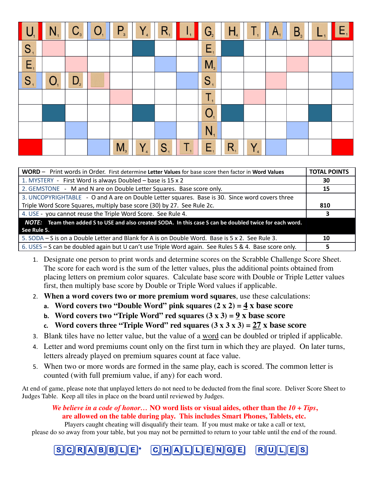|                | $\mathbf{N}_{\scriptscriptstyle{1}}$ | $C_{\scriptscriptstyle{3}}$ | O <sub>1</sub> | $P_{3}$        | $Y_{\tiny 4}$ | $R_{1}$ | W  | G <sub>2</sub> | H <sub>4</sub> | Τ,      | $A_{1}$ | $B_{\scriptscriptstyle{3}}$ | $\mathsf{E}_1$ |
|----------------|--------------------------------------|-----------------------------|----------------|----------------|---------------|---------|----|----------------|----------------|---------|---------|-----------------------------|----------------|
| S <sub>1</sub> |                                      |                             |                |                |               |         |    | $E_{\rm i}$    |                |         |         |                             |                |
| $E_{i}$        |                                      |                             |                |                |               |         |    | $M_{\tiny 3}$  |                |         |         |                             |                |
| S <sub>1</sub> | $O_{1}$                              | $D_{2}$                     |                |                |               |         |    | S <sub>1</sub> |                |         |         |                             |                |
|                |                                      |                             |                |                |               |         |    | $\mathsf{T}_1$ |                |         |         |                             |                |
|                |                                      |                             |                |                |               |         |    | O <sub>1</sub> |                |         |         |                             |                |
|                |                                      |                             |                |                |               |         |    | $N_{1}$        |                |         |         |                             |                |
|                |                                      |                             |                | M <sub>3</sub> | $Y_{\tiny 4}$ | $S_{1}$ | Τ. | $E_{1}$        | $R_{1}$        | $Y_{4}$ |         |                             |                |

| WORD - Print words in Order. First determine Letter Values for base score then factor in Word Values     |     |  |  |  |  |
|----------------------------------------------------------------------------------------------------------|-----|--|--|--|--|
| 1. MYSTERY - First Word is always Doubled - base is 15 x 2                                               | 30  |  |  |  |  |
| 2. GEMSTONE - M and N are on Double Letter Squares. Base score only.                                     | 15  |  |  |  |  |
| 3. UNCOPYRIGHTABLE - O and A are on Double Letter squares. Base is 30. Since word covers three           |     |  |  |  |  |
| Triple Word Score Squares, multiply base score (30) by 27. See Rule 2c.                                  | 810 |  |  |  |  |
| 4. USE - you cannot reuse the Triple Word Score. See Rule 4.                                             |     |  |  |  |  |
| NOTE: Team then added S to USE and also created SODA. In this case S can be doubled twice for each word. |     |  |  |  |  |
| See Rule 5.                                                                                              |     |  |  |  |  |
| 5. SODA – S is on a Double Letter and Blank for A is on Double Word. Base is 5 x 2. See Rule 3.          | 10  |  |  |  |  |
| 6. USES - S can be doubled again but U can't use Triple Word again. See Rules 5 & 4. Base score only.    |     |  |  |  |  |

- 1. Designate one person to print words and determine scores on the Scrabble Challenge Score Sheet. The score for each word is the sum of the letter values, plus the additional points obtained from placing letters on premium color squares. Calculate base score with Double or Triple Letter values first, then multiply base score by Double or Triple Word values if applicable.
- 2. **When a word covers two or more premium word squares**, use these calculations:
	- a. Word covers two "Double Word" pink squares  $(2 \times 2) = 4 \times$  base score
	- b. **Word covers two "Triple Word" red squares (3 x 3) = 9 x base score**
	- c. Word covers three "Triple Word" red squares  $(3 \times 3 \times 3) = 27 \times$  base score
- 3. Blank tiles have no letter value, but the value of a word can be doubled or tripled if applicable.
- 4. Letter and word premiums count only on the first turn in which they are played. On later turns, letters already played on premium squares count at face value.
- 5. When two or more words are formed in the same play, each is scored. The common letter is counted (with full premium value, if any) for each word.

At end of game, please note that unplayed letters do not need to be deducted from the final score. Deliver Score Sheet to Judges Table. Keep all tiles in place on the board until reviewed by Judges.

*We believe in a code of honor…* **NO word lists or visual aides, other than the** *10 + Tips***, are allowed on the table during play. This includes Smart Phones, Tablets, etc.** 

Players caught cheating will disqualify their team. If you must make or take a call or text, please do so away from your table, but you may not be permitted to return to your table until the end of the round.

 $\mathcal{S}$   $\mathcal{S}$   $\mathcal{S}$   $\mathcal{S}$   $\mathcal{S}$   $\mathcal{S}$   $\mathcal{S}$   $\mathcal{S}$   $\mathcal{S}$   $\mathcal{S}$   $\mathcal{S}$   $\mathcal{S}$   $\mathcal{S}$   $\mathcal{S}$   $\mathcal{S}$   $\mathcal{S}$   $\mathcal{S}$   $\mathcal{S}$   $\mathcal{S}$   $\mathcal{S}$   $\mathcal{S}$   $\mathcal{S}$   $\mathcal{S}$   $\mathcal{S}$   $\mathcal{$